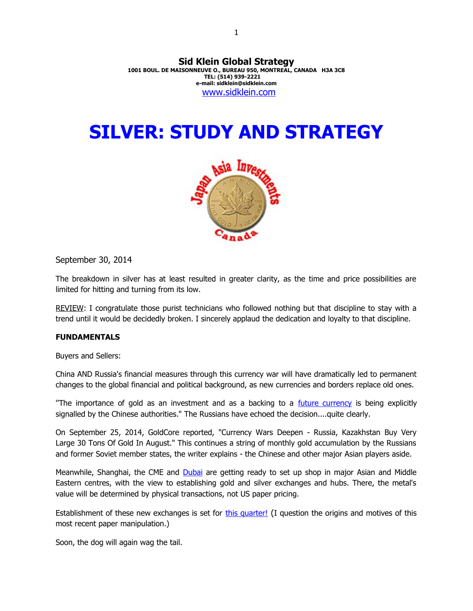**Sid Klein Global Strategy 1001 BOUL. DE MAISONNEUVE O., BUREAU 950, MONTREAL, CANADA H3A 3C8 TEL: (514) 939-2221 e-mail: sidklein@sidklein.com** [www.sidklein.com](http://www.sidklein.com/)

# **SILVER: STUDY AND STRATEGY**



September 30, 2014

The breakdown in silver has at least resulted in greater clarity, as the time and price possibilities are limited for hitting and turning from its low.

REVIEW: I congratulate those purist technicians who followed nothing but that discipline to stay with a trend until it would be decidedly broken. I sincerely applaud the dedication and loyalty to that discipline.

#### **FUNDAMENTALS**

Buyers and Sellers:

China AND Russia's financial measures through this currency war will have dramatically led to permanent changes to the global financial and political background, as new currencies and borders replace old ones.

"The importance of gold as an investment and as a backing to a *future currency* is being explicitly signalled by the Chinese authorities." The Russians have echoed the decision....quite clearly.

On September 25, 2014, GoldCore reported, "Currency Wars Deepen - Russia, Kazakhstan Buy Very Large 30 Tons Of Gold In August." This continues a string of monthly gold accumulation by the Russians and former Soviet member states, the writer explains - the Chinese and other major Asian players aside.

Meanwhile, Shanghai, the CME and [Dubai](http://gulfnews.com/business/retail/weak-gold-prices-has-dubai-consumers-clamouring-for-more-1.1389696) are getting ready to set up shop in major Asian and Middle Eastern centres, with the view to establishing gold and silver exchanges and hubs. There, the metal's value will be determined by physical transactions, not US paper pricing.

Establishment of these new exchanges is set for [this quarter!](http://www.silverseek.com/article/shanghai-silver-stocks-continue-fall-silver-eagle-sales-explode-higher-13627) (I question the origins and motives of this most recent paper manipulation.)

Soon, the dog will again wag the tail.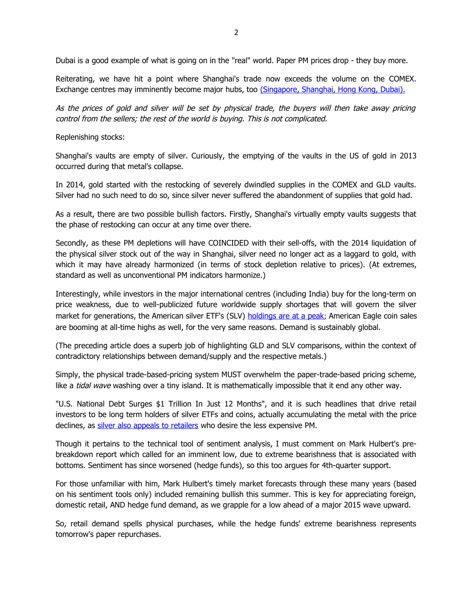Dubai is a good example of what is going on in the "real" world. Paper PM prices drop - they buy more.

Reiterating, we have hit a point where Shanghai's trade now exceeds the volume on the COMEX. Exchange centres may imminently become major hubs, too [\(Singapore, Shanghai, Hong Kong, Dubai\).](http://www.marketoracle.co.uk/Article47436.html)

As the prices of gold and silver will be set by physical trade, the buyers will then take away pricing control from the sellers; the rest of the world is buying. This is not complicated.

Replenishing stocks:

Shanghai's vaults are empty of silver. Curiously, the emptying of the vaults in the US of gold in 2013 occurred during that metal's collapse.

In 2014, gold started with the restocking of severely dwindled supplies in the COMEX and GLD vaults. Silver had no such need to do so, since silver never suffered the abandonment of supplies that gold had.

As a result, there are two possible bullish factors. Firstly, Shanghai's virtually empty vaults suggests that the phase of restocking can occur at any time over there.

Secondly, as these PM depletions will have COINCIDED with their sell-offs, with the 2014 liquidation of the physical silver stock out of the way in Shanghai, silver need no longer act as a laggard to gold, with which it may have already harmonized (in terms of stock depletion relative to prices). (At extremes, standard as well as unconventional PM indicators harmonize.)

Interestingly, while investors in the major international centres (including India) buy for the long-term on price weakness, due to well-publicized future worldwide supply shortages that will govern the silver market for generations, the American silver ETF's (SLV) [holdings are at a peak](http://seekingalpha.com/article/2511145-shareholders-in-the-ishares-silver-trust-are-sticking-with-it?uprof=55); American Eagle coin sales are booming at all-time highs as well, for the very same reasons. Demand is sustainably global.

(The preceding article does a superb job of highlighting GLD and SLV comparisons, within the context of contradictory relationships between demand/supply and the respective metals.)

Simply, the physical trade-based-pricing system MUST overwhelm the paper-trade-based pricing scheme, like a tidal wave washing over a tiny island. It is mathematically impossible that it end any other way.

"U.S. National Debt Surges \$1 Trillion In Just 12 Months", and it is such headlines that drive retail investors to be long term holders of silver ETFs and coins, actually accumulating the metal with the price declines, as [silver also appeals to retailers](http://www.goldcore.com/goldcore_blog/Silver_Buyers_Keep_Stacking_And_Demand_Higher_Despite_Falling_Prices) who desire the less expensive PM.

Though it pertains to the technical tool of sentiment analysis, I must comment on Mark Hulbert's prebreakdown report which called for an imminent low, due to extreme bearishness that is associated with bottoms. Sentiment has since worsened (hedge funds), so this too argues for 4th-quarter support.

For those unfamiliar with him, Mark Hulbert's timely market forecasts through these many years (based on his sentiment tools only) included remaining bullish this summer. This is key for appreciating foreign, domestic retail, AND hedge fund demand, as we grapple for a low ahead of a major 2015 wave upward.

So, retail demand spells physical purchases, while the hedge funds' extreme bearishness represents tomorrow's paper repurchases.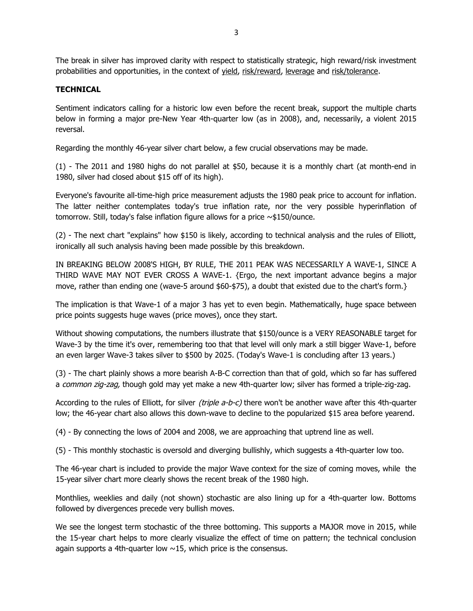The break in silver has improved clarity with respect to statistically strategic, high reward/risk investment probabilities and opportunities, in the context of yield, risk/reward, leverage and risk/tolerance.

## **TECHNICAL**

Sentiment indicators calling for a historic low even before the recent break, support the multiple charts below in forming a major pre-New Year 4th-quarter low (as in 2008), and, necessarily, a violent 2015 reversal.

Regarding the monthly 46-year silver chart below, a few crucial observations may be made.

(1) - The 2011 and 1980 highs do not parallel at \$50, because it is a monthly chart (at month-end in 1980, silver had closed about \$15 off of its high).

Everyone's favourite all-time-high price measurement adjusts the 1980 peak price to account for inflation. The latter neither contemplates today's true inflation rate, nor the very possible hyperinflation of tomorrow. Still, today's false inflation figure allows for a price ~\$150/ounce.

(2) - The next chart "explains" how \$150 is likely, according to technical analysis and the rules of Elliott, ironically all such analysis having been made possible by this breakdown.

IN BREAKING BELOW 2008'S HIGH, BY RULE, THE 2011 PEAK WAS NECESSARILY A WAVE-1, SINCE A THIRD WAVE MAY NOT EVER CROSS A WAVE-1. {Ergo, the next important advance begins a major move, rather than ending one (wave-5 around \$60-\$75), a doubt that existed due to the chart's form.}

The implication is that Wave-1 of a major 3 has yet to even begin. Mathematically, huge space between price points suggests huge waves (price moves), once they start.

Without showing computations, the numbers illustrate that \$150/ounce is a VERY REASONABLE target for Wave-3 by the time it's over, remembering too that that level will only mark a still bigger Wave-1, before an even larger Wave-3 takes silver to \$500 by 2025. (Today's Wave-1 is concluding after 13 years.)

(3) - The chart plainly shows a more bearish A-B-C correction than that of gold, which so far has suffered a common zig-zag, though gold may yet make a new 4th-quarter low; silver has formed a triple-zig-zag.

According to the rules of Elliott, for silver (triple a-b-c) there won't be another wave after this 4th-quarter low; the 46-year chart also allows this down-wave to decline to the popularized \$15 area before yearend.

(4) - By connecting the lows of 2004 and 2008, we are approaching that uptrend line as well.

(5) - This monthly stochastic is oversold and diverging bullishly, which suggests a 4th-quarter low too.

The 46-year chart is included to provide the major Wave context for the size of coming moves, while the 15-year silver chart more clearly shows the recent break of the 1980 high.

Monthlies, weeklies and daily (not shown) stochastic are also lining up for a 4th-quarter low. Bottoms followed by divergences precede very bullish moves.

We see the longest term stochastic of the three bottoming. This supports a MAJOR move in 2015, while the 15-year chart helps to more clearly visualize the effect of time on pattern; the technical conclusion again supports a 4th-quarter low  $\sim$ 15, which price is the consensus.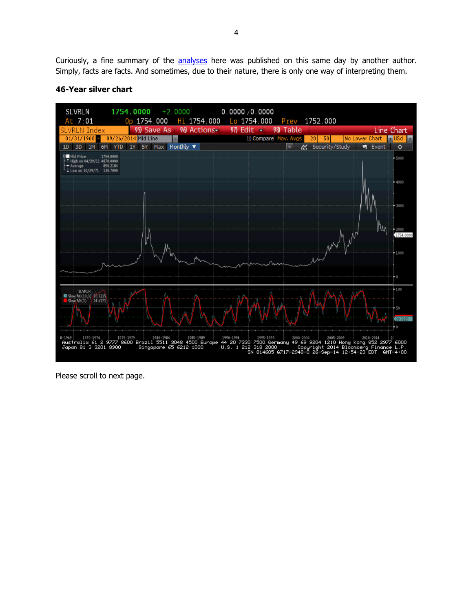Curiously, a fine summary of the **analyses** here was published on this same day by another author. Simply, facts are facts. And sometimes, due to their nature, there is only one way of interpreting them.



## **46-Year silver chart**

Please scroll to next page.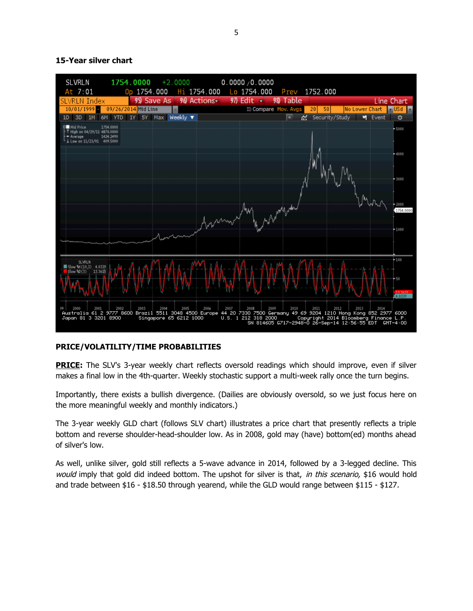#### **15-Year silver chart**



### **PRICE/VOLATILITY/TIME PROBABILITIES**

**PRICE:** The SLV's 3-year weekly chart reflects oversold readings which should improve, even if silver makes a final low in the 4th-quarter. Weekly stochastic support a multi-week rally once the turn begins.

Importantly, there exists a bullish divergence. (Dailies are obviously oversold, so we just focus here on the more meaningful weekly and monthly indicators.)

The 3-year weekly GLD chart (follows SLV chart) illustrates a price chart that presently reflects a triple bottom and reverse shoulder-head-shoulder low. As in 2008, gold may (have) bottom(ed) months ahead of silver's low.

As well, unlike silver, gold still reflects a 5-wave advance in 2014, followed by a 3-legged decline. This would imply that gold did indeed bottom. The upshot for silver is that, in this scenario, \$16 would hold and trade between \$16 - \$18.50 through yearend, while the GLD would range between \$115 - \$127.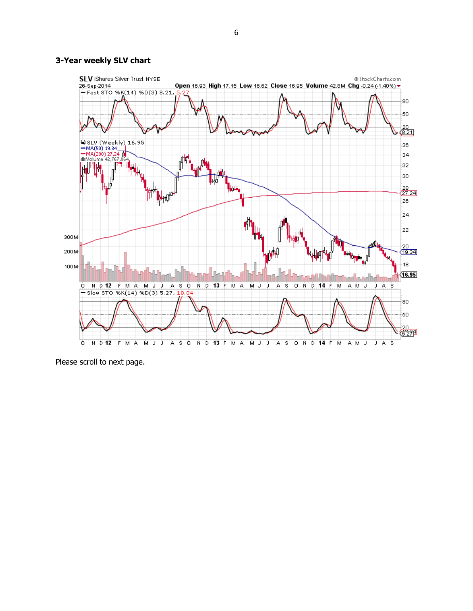#### **3-Year weekly SLV chart**



Please scroll to next page.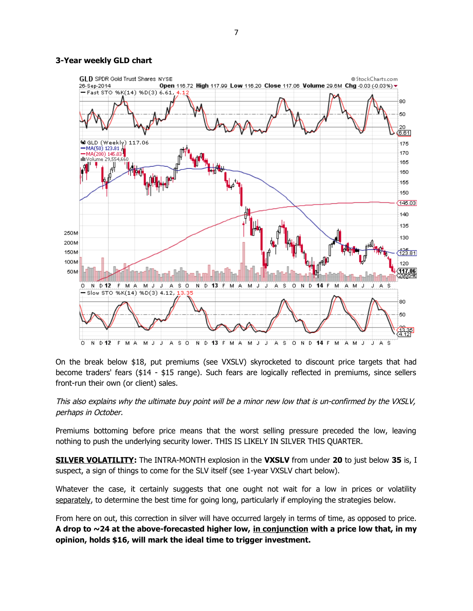#### **3-Year weekly GLD chart**



On the break below \$18, put premiums (see VXSLV) skyrocketed to discount price targets that had become traders' fears (\$14 - \$15 range). Such fears are logically reflected in premiums, since sellers front-run their own (or client) sales.

### This also explains why the ultimate buy point will be a minor new low that is un-confirmed by the VXSLV, perhaps in October.

Premiums bottoming before price means that the worst selling pressure preceded the low, leaving nothing to push the underlying security lower. THIS IS LIKELY IN SILVER THIS QUARTER.

**SILVER VOLATILITY:** The INTRA-MONTH explosion in the **VXSLV** from under **20** to just below **35** is, I suspect, a sign of things to come for the SLV itself (see 1-year VXSLV chart below).

Whatever the case, it certainly suggests that one ought not wait for a low in prices or volatility separately, to determine the best time for going long, particularly if employing the strategies below.

From here on out, this correction in silver will have occurred largely in terms of time, as opposed to price. **A drop to ~24 at the above-forecasted higher low, in conjunction with a price low that, in my opinion, holds \$16, will mark the ideal time to trigger investment.**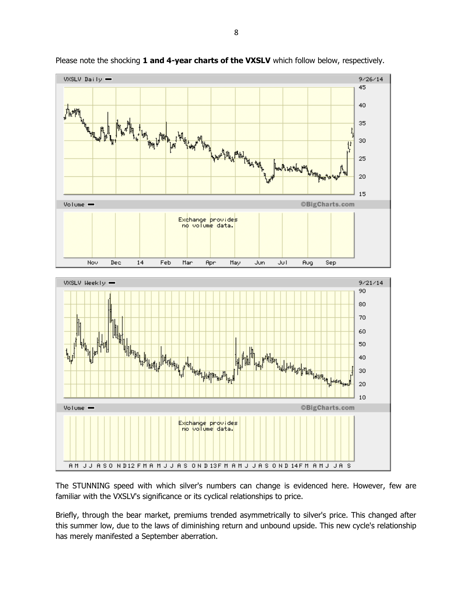

Please note the shocking 1 and 4-year charts of the VXSLV which follow below, respectively.

The STUNNING speed with which silver's numbers can change is evidenced here. However, few are familiar with the VXSLV's significance or its cyclical relationships to price.

Briefly, through the bear market, premiums trended asymmetrically to silver's price. This changed after this summer low, due to the laws of diminishing return and unbound upside. This new cycle's relationship has merely manifested a September aberration.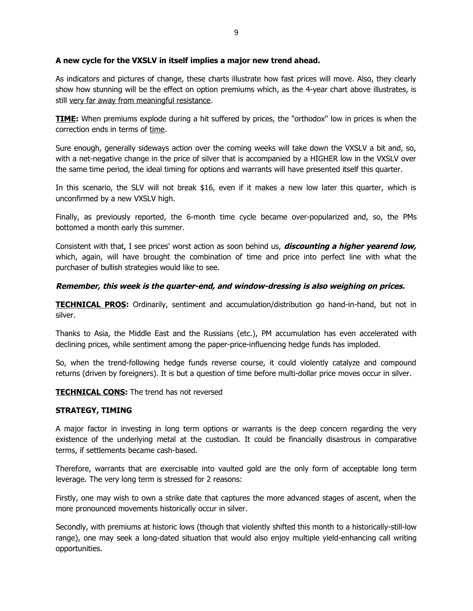### **A new cycle for the VXSLV in itself implies a major new trend ahead.**

As indicators and pictures of change, these charts illustrate how fast prices will move. Also, they clearly show how stunning will be the effect on option premiums which, as the 4-year chart above illustrates, is still very far away from meaningful resistance.

**TIME:** When premiums explode during a hit suffered by prices, the "orthodox" low in prices is when the correction ends in terms of time.

Sure enough, generally sideways action over the coming weeks will take down the VXSLV a bit and, so, with a net-negative change in the price of silver that is accompanied by a HIGHER low in the VXSLV over the same time period, the ideal timing for options and warrants will have presented itself this quarter.

In this scenario, the SLV will not break \$16, even if it makes a new low later this quarter, which is unconfirmed by a new VXSLV high.

Finally, as previously reported, the 6-month time cycle became over-popularized and, so, the PMs bottomed a month early this summer.

Consistent with that, I see prices' worst action as soon behind us, **discounting a higher yearend low,** which, again, will have brought the combination of time and price into perfect line with what the purchaser of bullish strategies would like to see.

## **Remember, this week is the quarter-end, and window-dressing is also weighing on prices.**

**TECHNICAL PROS:** Ordinarily, sentiment and accumulation/distribution go hand-in-hand, but not in silver.

Thanks to Asia, the Middle East and the Russians (etc.), PM accumulation has even accelerated with declining prices, while sentiment among the paper-price-influencing hedge funds has imploded.

So, when the trend-following hedge funds reverse course, it could violently catalyze and compound returns (driven by foreigners). It is but a question of time before multi-dollar price moves occur in silver.

**TECHNICAL CONS:** The trend has not reversed

### **STRATEGY, TIMING**

A major factor in investing in long term options or warrants is the deep concern regarding the very existence of the underlying metal at the custodian. It could be financially disastrous in comparative terms, if settlements became cash-based.

Therefore, warrants that are exercisable into vaulted gold are the only form of acceptable long term leverage. The very long term is stressed for 2 reasons:

Firstly, one may wish to own a strike date that captures the more advanced stages of ascent, when the more pronounced movements historically occur in silver.

Secondly, with premiums at historic lows (though that violently shifted this month to a historically-still-low range), one may seek a long-dated situation that would also enjoy multiple yield-enhancing call writing opportunities.